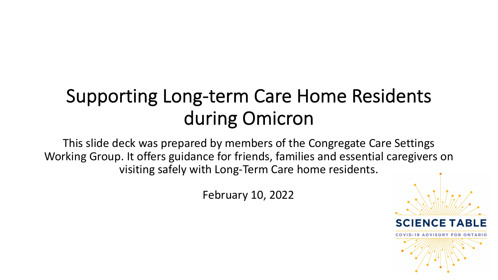# Supporting Long-term Care Home Residents during Omicron

This slide deck was prepared by members of the Congregate Care Settings Working Group. It offers guidance for friends, families and essential caregivers on visiting safely with Long-Term Care home residents.

February 10, 2022

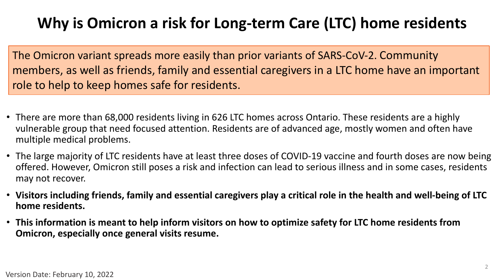## **Why is Omicron a risk for Long-term Care (LTC) home residents**

The Omicron variant spreads more easily than prior variants of SARS-CoV-2. Community members, as well as friends, family and essential caregivers in a LTC home have an important role to help to keep homes safe for residents.

- There are more than 68,000 residents living in 626 LTC homes across Ontario. These residents are a highly vulnerable group that need focused attention. Residents are of advanced age, mostly women and often have multiple medical problems.
- The large majority of LTC residents have at least three doses of COVID-19 vaccine and fourth doses are now being offered. However, Omicron still poses a risk and infection can lead to serious illness and in some cases, residents may not recover.
- **Visitors including friends, family and essential caregivers play a critical role in the health and well-being of LTC home residents.**
- **This information is meant to help inform visitors on how to optimize safety for LTC home residents from Omicron, especially once general visits resume.**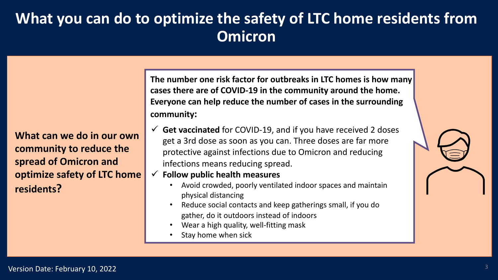### **What you can do to optimize the safety of LTC home residents from Omicron**

**What can we do in our own community to reduce the spread of Omicron and optimize safety of LTC home residents?** 

**The number one risk factor for outbreaks in LTC homes is how many cases there are of COVID-19 in the community around the home. Everyone can help reduce the number of cases in the surrounding community:**

- $\checkmark$  Get vaccinated for COVID-19, and if you have received 2 doses get a 3rd dose as soon as you can. Three doses are far more protective against infections due to Omicron and reducing infections means reducing spread.
- $\checkmark$  Follow public health measures
	- Avoid crowded, poorly ventilated indoor spaces and maintain physical distancing
	- Reduce social contacts and keep gatherings small, if you do gather, do it outdoors instead of indoors
	- Wear a high quality, well-fitting mask
	- Stay home when sick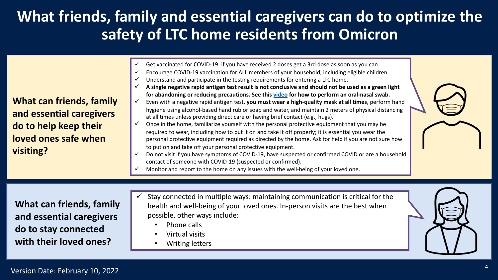### **What friends, family and essential caregiver safety of LTC home residents from**

**What can friends, family and essential caregivers do to help keep their loved ones safe when visiting?** 

- Get vaccinated for COVID-19: if you have received 2 doses get a 3rd
- Encourage COVID-19 vaccination for ALL members of your househol  $\checkmark$  Understand and participate in the testing requirements for entering
	- A single negative rapid antigen test result is not conclusive and sho
- for abandoning or reducing precautions. See this video for how to Even with a negative rapid antigen test, you must wear a high-quali hygiene using alcohol-based hand rub or soap and water, and mainta at all times unless providing direct care or having brief contact (e.g.,
- $\checkmark$  Once in the home, familiarize yourself with the personal protective  $\checkmark$ required to wear, including how to put it on and take it off properly; personal protective equipment required as directed by the home. As to put on and take off your personal protective equipment.
- Do not visit if you have symptoms of COVID-19, have suspected or confirmed COVID-19, have suspected or a contact of someone with COVID-19 (suspected or confirmed).
- Monitor and report to the home on any issues with the well-being on

**What can friends, family and essential caregivers do to stay connected with their loved ones?** 

- Stay connected in multiple ways: maintaining communication health and well-being of your loved ones. In-person vi possible, other ways include:
	- Phone calls
	- Virtual visits
	- Writing letters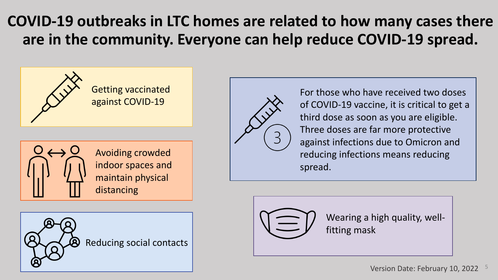## **COVID-19 outbreaks in LTC homes are related to how many cases there are in the community. Everyone can help reduce COVID-19 spread.**





Avoiding crowded indoor spaces and maintain physical distancing





For those who have received two doses of COVID-19 vaccine, it is critical to get a third dose as soon as you are eligible. Three doses are far more protective against infections due to Omicron and reducing infections means reducing spread.



Wearing a high quality, wellfitting mask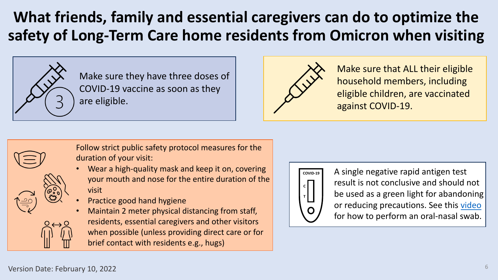## **What friends, family and essential caregivers** safety of Long-Term Care home residents fror



Make sure they have three doses of COVID-19 vaccine as soon as they are eligible.



Follow strict public safety protocol measures for the duration of your visit: • Wear a high-quality mask and keep it on, covering your mouth and nose for the entire duration of the visit • Practice good hand hygiene • Maintain 2 meter physical distancing from staff, residents, essential caregivers and other visitors when possible (unless providing direct care or for brief contact with residents e.g., hugs)



Version Date: February 10, 2022